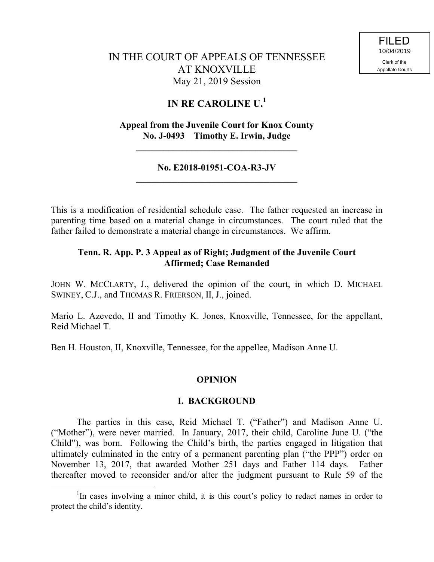# IN THE COURT OF APPEALS OF TENNESSEE AT KNOXVILLE May 21, 2019 Session

# **IN RE CAROLINE U.<sup>1</sup>**

## **Appeal from the Juvenile Court for Knox County No. J-0493 Timothy E. Irwin, Judge**

**\_\_\_\_\_\_\_\_\_\_\_\_\_\_\_\_\_\_\_\_\_\_\_\_\_\_\_\_\_\_\_\_\_\_\_**

### **No. E2018-01951-COA-R3-JV \_\_\_\_\_\_\_\_\_\_\_\_\_\_\_\_\_\_\_\_\_\_\_\_\_\_\_\_\_\_\_\_\_\_\_**

This is a modification of residential schedule case. The father requested an increase in parenting time based on a material change in circumstances. The court ruled that the father failed to demonstrate a material change in circumstances. We affirm.

## **Tenn. R. App. P. 3 Appeal as of Right; Judgment of the Juvenile Court Affirmed; Case Remanded**

JOHN W. MCCLARTY, J., delivered the opinion of the court, in which D. MICHAEL SWINEY, C.J., and THOMAS R. FRIERSON, II, J., joined.

Mario L. Azevedo, II and Timothy K. Jones, Knoxville, Tennessee, for the appellant, Reid Michael T.

Ben H. Houston, II, Knoxville, Tennessee, for the appellee, Madison Anne U.

## **OPINION**

## **I. BACKGROUND**

The parties in this case, Reid Michael T. ("Father") and Madison Anne U. ("Mother"), were never married. In January, 2017, their child, Caroline June U. ("the Child"), was born. Following the Child's birth, the parties engaged in litigation that ultimately culminated in the entry of a permanent parenting plan ("the PPP") order on November 13, 2017, that awarded Mother 251 days and Father 114 days. Father thereafter moved to reconsider and/or alter the judgment pursuant to Rule 59 of the

 $\overline{a}$ 

<sup>&</sup>lt;sup>1</sup>In cases involving a minor child, it is this court's policy to redact names in order to protect the child's identity.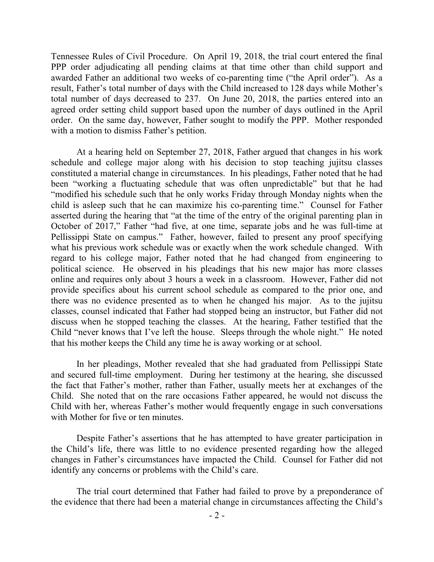Tennessee Rules of Civil Procedure. On April 19, 2018, the trial court entered the final PPP order adjudicating all pending claims at that time other than child support and awarded Father an additional two weeks of co-parenting time ("the April order"). As a result, Father's total number of days with the Child increased to 128 days while Mother's total number of days decreased to 237. On June 20, 2018, the parties entered into an agreed order setting child support based upon the number of days outlined in the April order. On the same day, however, Father sought to modify the PPP. Mother responded with a motion to dismiss Father's petition.

At a hearing held on September 27, 2018, Father argued that changes in his work schedule and college major along with his decision to stop teaching jujitsu classes constituted a material change in circumstances. In his pleadings, Father noted that he had been "working a fluctuating schedule that was often unpredictable" but that he had "modified his schedule such that he only works Friday through Monday nights when the child is asleep such that he can maximize his co-parenting time." Counsel for Father asserted during the hearing that "at the time of the entry of the original parenting plan in October of 2017," Father "had five, at one time, separate jobs and he was full-time at Pellissippi State on campus." Father, however, failed to present any proof specifying what his previous work schedule was or exactly when the work schedule changed. With regard to his college major, Father noted that he had changed from engineering to political science. He observed in his pleadings that his new major has more classes online and requires only about 3 hours a week in a classroom. However, Father did not provide specifics about his current school schedule as compared to the prior one, and there was no evidence presented as to when he changed his major. As to the jujitsu classes, counsel indicated that Father had stopped being an instructor, but Father did not discuss when he stopped teaching the classes. At the hearing, Father testified that the Child "never knows that I've left the house. Sleeps through the whole night." He noted that his mother keeps the Child any time he is away working or at school.

In her pleadings, Mother revealed that she had graduated from Pellissippi State and secured full-time employment. During her testimony at the hearing, she discussed the fact that Father's mother, rather than Father, usually meets her at exchanges of the Child. She noted that on the rare occasions Father appeared, he would not discuss the Child with her, whereas Father's mother would frequently engage in such conversations with Mother for five or ten minutes.

Despite Father's assertions that he has attempted to have greater participation in the Child's life, there was little to no evidence presented regarding how the alleged changes in Father's circumstances have impacted the Child. Counsel for Father did not identify any concerns or problems with the Child's care.

The trial court determined that Father had failed to prove by a preponderance of the evidence that there had been a material change in circumstances affecting the Child's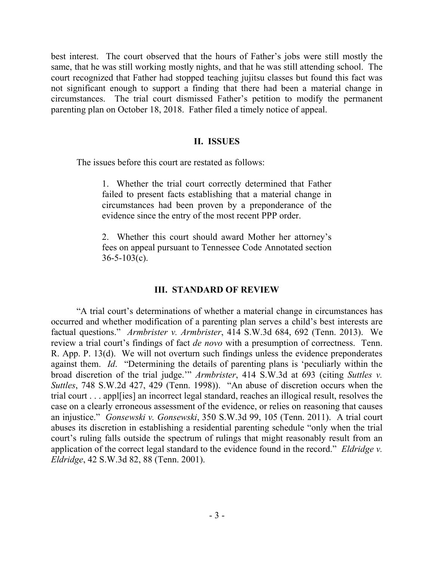best interest. The court observed that the hours of Father's jobs were still mostly the same, that he was still working mostly nights, and that he was still attending school. The court recognized that Father had stopped teaching jujitsu classes but found this fact was not significant enough to support a finding that there had been a material change in circumstances. The trial court dismissed Father's petition to modify the permanent parenting plan on October 18, 2018. Father filed a timely notice of appeal.

### **II. ISSUES**

The issues before this court are restated as follows:

1. Whether the trial court correctly determined that Father failed to present facts establishing that a material change in circumstances had been proven by a preponderance of the evidence since the entry of the most recent PPP order.

2. Whether this court should award Mother her attorney's fees on appeal pursuant to Tennessee Code Annotated section  $36 - 5 - 103(c)$ .

### **III. STANDARD OF REVIEW**

"A trial court's determinations of whether a material change in circumstances has occurred and whether modification of a parenting plan serves a child's best interests are factual questions." *Armbrister v. Armbrister*, 414 S.W.3d 684, 692 (Tenn. 2013). We review a trial court's findings of fact *de novo* with a presumption of correctness. Tenn. R. App. P. 13(d). We will not overturn such findings unless the evidence preponderates against them. *Id*. "Determining the details of parenting plans is 'peculiarly within the broad discretion of the trial judge.'" *Armbrister*, 414 S.W.3d at 693 (citing *Suttles v. Suttles*, 748 S.W.2d 427, 429 (Tenn. 1998)). "An abuse of discretion occurs when the trial court . . . appl[ies] an incorrect legal standard, reaches an illogical result, resolves the case on a clearly erroneous assessment of the evidence, or relies on reasoning that causes an injustice." *Gonsewski v. Gonsewski*, 350 S.W.3d 99, 105 (Tenn. 2011). A trial court abuses its discretion in establishing a residential parenting schedule "only when the trial court's ruling falls outside the spectrum of rulings that might reasonably result from an application of the correct legal standard to the evidence found in the record." *Eldridge v. Eldridge*, 42 S.W.3d 82, 88 (Tenn. 2001).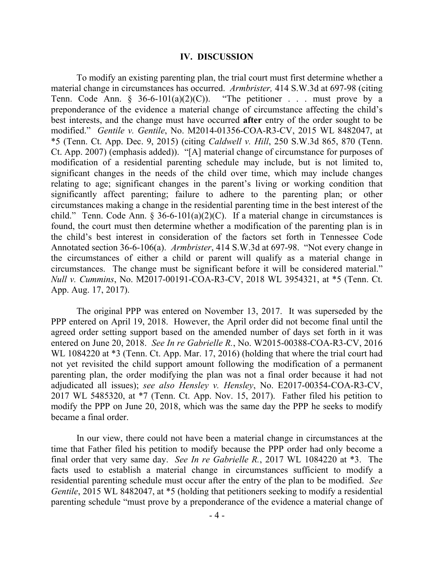#### **IV. DISCUSSION**

To modify an existing parenting plan, the trial court must first determine whether a material change in circumstances has occurred. *Armbrister,* 414 S.W.3d at 697-98 (citing Tenn. Code Ann.  $\S$  36-6-101(a)(2)(C)). "The petitioner . . . must prove by a preponderance of the evidence a material change of circumstance affecting the child's best interests, and the change must have occurred **after** entry of the order sought to be modified." *Gentile v. Gentile*, No. M2014-01356-COA-R3-CV, 2015 WL 8482047, at \*5 (Tenn. Ct. App. Dec. 9, 2015) (citing *Caldwell v. Hill*, 250 S.W.3d 865, 870 (Tenn. Ct. App. 2007) (emphasis added)). "[A] material change of circumstance for purposes of modification of a residential parenting schedule may include, but is not limited to, significant changes in the needs of the child over time, which may include changes relating to age; significant changes in the parent's living or working condition that significantly affect parenting; failure to adhere to the parenting plan; or other circumstances making a change in the residential parenting time in the best interest of the child." Tenn. Code Ann. § 36-6-101(a)(2)(C). If a material change in circumstances is found, the court must then determine whether a modification of the parenting plan is in the child's best interest in consideration of the factors set forth in Tennessee Code Annotated section 36-6-106(a). *Armbrister*, 414 S.W.3d at 697-98. "Not every change in the circumstances of either a child or parent will qualify as a material change in circumstances. The change must be significant before it will be considered material." *Null v. Cummins*, No. M2017-00191-COA-R3-CV, 2018 WL 3954321, at \*5 (Tenn. Ct. App. Aug. 17, 2017).

The original PPP was entered on November 13, 2017. It was superseded by the PPP entered on April 19, 2018. However, the April order did not become final until the agreed order setting support based on the amended number of days set forth in it was entered on June 20, 2018. *See In re Gabrielle R.*, No. W2015-00388-COA-R3-CV, 2016 WL 1084220 at  $*3$  (Tenn. Ct. App. Mar. 17, 2016) (holding that where the trial court had not yet revisited the child support amount following the modification of a permanent parenting plan, the order modifying the plan was not a final order because it had not adjudicated all issues); *see also Hensley v. Hensley*, No. E2017-00354-COA-R3-CV, 2017 WL 5485320, at \*7 (Tenn. Ct. App. Nov. 15, 2017). Father filed his petition to modify the PPP on June 20, 2018, which was the same day the PPP he seeks to modify became a final order.

In our view, there could not have been a material change in circumstances at the time that Father filed his petition to modify because the PPP order had only become a final order that very same day. *See In re Gabrielle R.*, 2017 WL 1084220 at \*3. The facts used to establish a material change in circumstances sufficient to modify a residential parenting schedule must occur after the entry of the plan to be modified. *See Gentile*, 2015 WL 8482047, at \*5 (holding that petitioners seeking to modify a residential parenting schedule "must prove by a preponderance of the evidence a material change of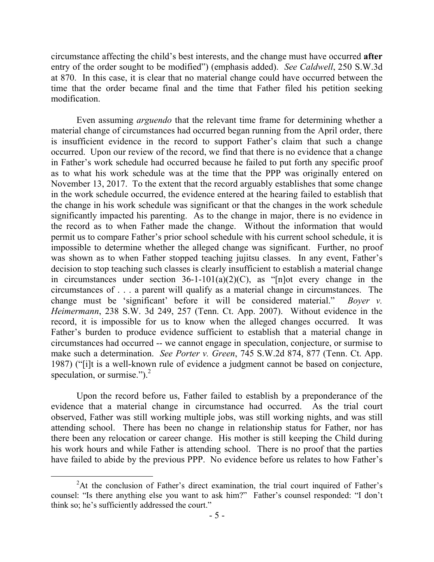circumstance affecting the child's best interests, and the change must have occurred **after** entry of the order sought to be modified") (emphasis added). *See Caldwell*, 250 S.W.3d at 870. In this case, it is clear that no material change could have occurred between the time that the order became final and the time that Father filed his petition seeking modification.

Even assuming *arguendo* that the relevant time frame for determining whether a material change of circumstances had occurred began running from the April order, there is insufficient evidence in the record to support Father's claim that such a change occurred. Upon our review of the record, we find that there is no evidence that a change in Father's work schedule had occurred because he failed to put forth any specific proof as to what his work schedule was at the time that the PPP was originally entered on November 13, 2017. To the extent that the record arguably establishes that some change in the work schedule occurred, the evidence entered at the hearing failed to establish that the change in his work schedule was significant or that the changes in the work schedule significantly impacted his parenting. As to the change in major, there is no evidence in the record as to when Father made the change. Without the information that would permit us to compare Father's prior school schedule with his current school schedule, it is impossible to determine whether the alleged change was significant. Further, no proof was shown as to when Father stopped teaching jujitsu classes. In any event, Father's decision to stop teaching such classes is clearly insufficient to establish a material change in circumstances under section  $36-1-101(a)(2)(C)$ , as "[n]ot every change in the circumstances of . . . a parent will qualify as a material change in circumstances. The change must be 'significant' before it will be considered material." *Boyer v. Heimermann*, 238 S.W. 3d 249, 257 (Tenn. Ct. App. 2007). Without evidence in the record, it is impossible for us to know when the alleged changes occurred. It was Father's burden to produce evidence sufficient to establish that a material change in circumstances had occurred -- we cannot engage in speculation, conjecture, or surmise to make such a determination. *See Porter v. Green*, 745 S.W.2d 874, 877 (Tenn. Ct. App. 1987) ("[i]t is a well-known rule of evidence a judgment cannot be based on conjecture, speculation, or surmise." $)^2$ 

Upon the record before us, Father failed to establish by a preponderance of the evidence that a material change in circumstance had occurred. As the trial court observed, Father was still working multiple jobs, was still working nights, and was still attending school. There has been no change in relationship status for Father, nor has there been any relocation or career change. His mother is still keeping the Child during his work hours and while Father is attending school. There is no proof that the parties have failed to abide by the previous PPP. No evidence before us relates to how Father's

<sup>&</sup>lt;sup>2</sup>At the conclusion of Father's direct examination, the trial court inquired of Father's counsel: "Is there anything else you want to ask him?" Father's counsel responded: "I don't think so; he's sufficiently addressed the court."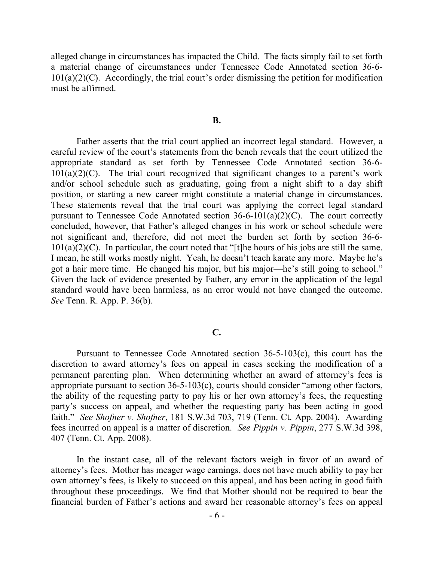alleged change in circumstances has impacted the Child. The facts simply fail to set forth a material change of circumstances under Tennessee Code Annotated section 36-6-  $101(a)(2)(C)$ . Accordingly, the trial court's order dismissing the petition for modification must be affirmed.

#### **B.**

Father asserts that the trial court applied an incorrect legal standard. However, a careful review of the court's statements from the bench reveals that the court utilized the appropriate standard as set forth by Tennessee Code Annotated section 36-6-  $101(a)(2)(C)$ . The trial court recognized that significant changes to a parent's work and/or school schedule such as graduating, going from a night shift to a day shift position, or starting a new career might constitute a material change in circumstances. These statements reveal that the trial court was applying the correct legal standard pursuant to Tennessee Code Annotated section  $36-6-101(a)(2)(C)$ . The court correctly concluded, however, that Father's alleged changes in his work or school schedule were not significant and, therefore, did not meet the burden set forth by section 36-6-  $101(a)(2)(C)$ . In particular, the court noted that "[t]he hours of his jobs are still the same. I mean, he still works mostly night. Yeah, he doesn't teach karate any more. Maybe he's got a hair more time. He changed his major, but his major—he's still going to school." Given the lack of evidence presented by Father, any error in the application of the legal standard would have been harmless, as an error would not have changed the outcome. *See* Tenn. R. App. P. 36(b).

### **C.**

Pursuant to Tennessee Code Annotated section 36-5-103(c), this court has the discretion to award attorney's fees on appeal in cases seeking the modification of a permanent parenting plan. When determining whether an award of attorney's fees is appropriate pursuant to section 36-5-103(c), courts should consider "among other factors, the ability of the requesting party to pay his or her own attorney's fees, the requesting party's success on appeal, and whether the requesting party has been acting in good faith." *See Shofner v. Shofner*, 181 S.W.3d 703, 719 (Tenn. Ct. App. 2004). Awarding fees incurred on appeal is a matter of discretion. *See Pippin v. Pippin*, 277 S.W.3d 398, 407 (Tenn. Ct. App. 2008).

In the instant case, all of the relevant factors weigh in favor of an award of attorney's fees. Mother has meager wage earnings, does not have much ability to pay her own attorney's fees, is likely to succeed on this appeal, and has been acting in good faith throughout these proceedings. We find that Mother should not be required to bear the financial burden of Father's actions and award her reasonable attorney's fees on appeal